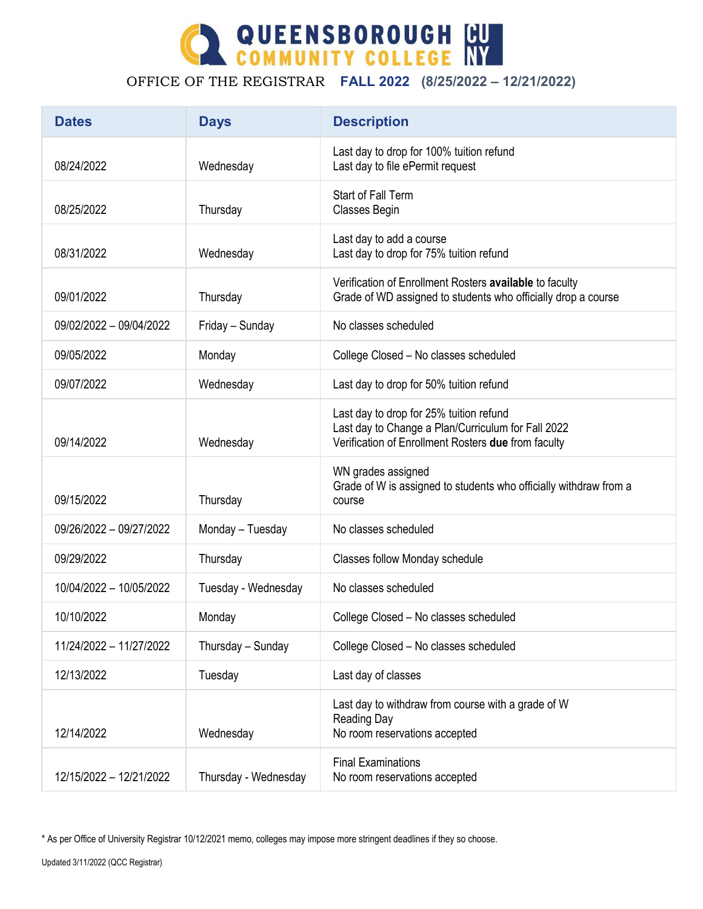

## OFFICE OF THE REGISTRAR **FALL 2022 (8/25/2022 – 12/21/2022)**

| <b>Dates</b>            | <b>Days</b>          | <b>Description</b>                                                                                                                                   |
|-------------------------|----------------------|------------------------------------------------------------------------------------------------------------------------------------------------------|
| 08/24/2022              | Wednesday            | Last day to drop for 100% tuition refund<br>Last day to file ePermit request                                                                         |
| 08/25/2022              | Thursday             | Start of Fall Term<br>Classes Begin                                                                                                                  |
| 08/31/2022              | Wednesday            | Last day to add a course<br>Last day to drop for 75% tuition refund                                                                                  |
| 09/01/2022              | Thursday             | Verification of Enrollment Rosters available to faculty<br>Grade of WD assigned to students who officially drop a course                             |
| 09/02/2022 - 09/04/2022 | Friday - Sunday      | No classes scheduled                                                                                                                                 |
| 09/05/2022              | Monday               | College Closed - No classes scheduled                                                                                                                |
| 09/07/2022              | Wednesday            | Last day to drop for 50% tuition refund                                                                                                              |
| 09/14/2022              | Wednesday            | Last day to drop for 25% tuition refund<br>Last day to Change a Plan/Curriculum for Fall 2022<br>Verification of Enrollment Rosters due from faculty |
| 09/15/2022              | Thursday             | WN grades assigned<br>Grade of W is assigned to students who officially withdraw from a<br>course                                                    |
| 09/26/2022 - 09/27/2022 | Monday - Tuesday     | No classes scheduled                                                                                                                                 |
| 09/29/2022              | Thursday             | <b>Classes follow Monday schedule</b>                                                                                                                |
| 10/04/2022 - 10/05/2022 | Tuesday - Wednesday  | No classes scheduled                                                                                                                                 |
| 10/10/2022              | Monday               | College Closed - No classes scheduled                                                                                                                |
| 11/24/2022 - 11/27/2022 | Thursday - Sunday    | College Closed - No classes scheduled                                                                                                                |
| 12/13/2022              | Tuesday              | Last day of classes                                                                                                                                  |
| 12/14/2022              | Wednesday            | Last day to withdraw from course with a grade of W<br><b>Reading Day</b><br>No room reservations accepted                                            |
| 12/15/2022 - 12/21/2022 | Thursday - Wednesday | <b>Final Examinations</b><br>No room reservations accepted                                                                                           |

\* As per Office of University Registrar 10/12/2021 memo, colleges may impose more stringent deadlines if they so choose.

Updated 3/11/2022 (QCC Registrar)